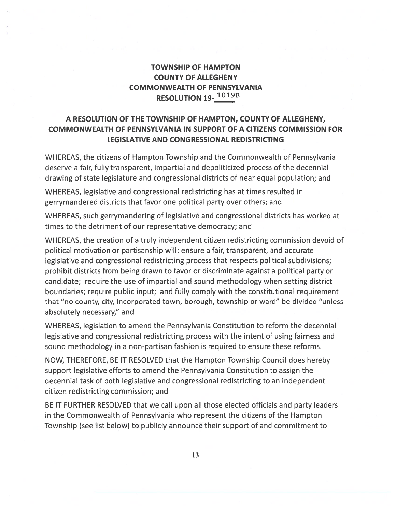## TOWNSHIP OF HAMPTON COUNTY OF ALLEGHENY COMMONWEALTH OF PENNSYLVANIA RESOLUTION 19-<sup>1019B</sup>

## A RESOLUTION OF THE TOWNSHIP OF HAMPTON, COUNTY OF ALLEGHENY, COMMONWEALTH OF PENNSYLVANIA IN SUPPORT OF A CITIZENS COMMISSION FOR LEGISLATIVE AND CONGRESSIONAL REDISTRICTING

WHEREAS, the citizens of Hampton Township and the Commonwealth of Pennsylvania deserve <sup>a</sup> fair, fully transparent, impartial and depoliticized process of the decennial drawing of state legislature and congressional districts of near equal population; and

WHEREAS, legislative and congressional redistricting has at times resulted in gerrymandered districts that favor one political party over others; and

WHEREAS, such gerrymandering of legislative and congressional districts has worked at times to the detriment of our representative democracy; and

WHEREAS, the creation of <sup>a</sup> truly independent citizen redistricting commission devoid of political motivation or partisanship will: ensure <sup>a</sup> fair, transparent, and accurate legislative and congressional redistricting process that respects political subdivisions; prohibit districts from being drawn to favor or discriminate against <sup>a</sup> political party or candidate; require the use of impartial and sound methodology when setting district boundaries; require public input; and fully comply with the constitutional requirement that "no county, city, incorporated town, borough, township or ward" be divided "unless absolutely necessary," and

WHEREAS, legislation to amend the Pennsylvania Constitution to reform the decennial legislative and congressional redistricting process with the intent of using fairness and sound methodology in <sup>a</sup> non-partisan fashion is required to ensure these reforms.

NOW, THEREFORE, BE IT RESOLVED that the Hampton Township Council does hereby suppor<sup>t</sup> legislative efforts to amend the Pennsylvania Constitution to assign the decennial task of both legislative and congressional redistricting to an independent citizen redistricting commission; and

BE IT FURTHER RESOLVED that we call upon all those elected officials and party leaders in the Commonwealth of Pennsylvania who represen<sup>t</sup> the citizens of the Hampton Township (see list below) to publicly announce their suppor<sup>t</sup> of and commitment to